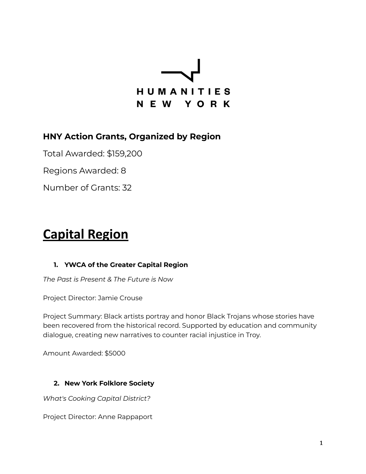

### **HNY Action Grants, Organized by Region**

Total Awarded: \$159,200

Regions Awarded: 8

Number of Grants: 32

# **Capital Region**

#### **1. YWCA of the Greater Capital Region**

*The Past is Present & The Future is Now*

Project Director: Jamie Crouse

Project Summary: Black artists portray and honor Black Trojans whose stories have been recovered from the historical record. Supported by education and community dialogue, creating new narratives to counter racial injustice in Troy.

Amount Awarded: \$5000

#### **2. New York Folklore Society**

*What's Cooking Capital District?*

Project Director: Anne Rappaport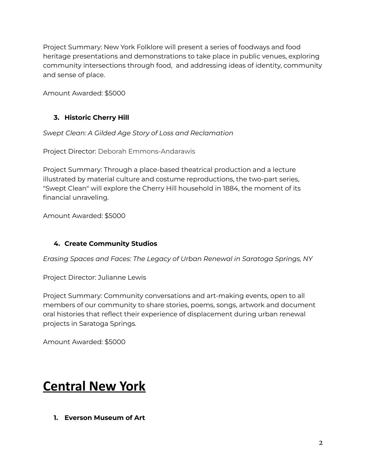Project Summary: New York Folklore will present a series of foodways and food heritage presentations and demonstrations to take place in public venues, exploring community intersections through food, and addressing ideas of identity, community and sense of place.

Amount Awarded: \$5000

#### **3. Historic Cherry Hill**

*Swept Clean: A Gilded Age Story of Loss and Reclamation*

Project Director: Deborah Emmons-Andarawis

Project Summary: Through a place-based theatrical production and a lecture illustrated by material culture and costume reproductions, the two-part series, "Swept Clean" will explore the Cherry Hill household in 1884, the moment of its financial unraveling.

Amount Awarded: \$5000

#### **4. Create Community Studios**

*Erasing Spaces and Faces: The Legacy of Urban Renewal in Saratoga Springs, NY*

Project Director: Julianne Lewis

Project Summary: Community conversations and art-making events, open to all members of our community to share stories, poems, songs, artwork and document oral histories that reflect their experience of displacement during urban renewal projects in Saratoga Springs.

Amount Awarded: \$5000

### **Central New York**

**1. Everson Museum of Art**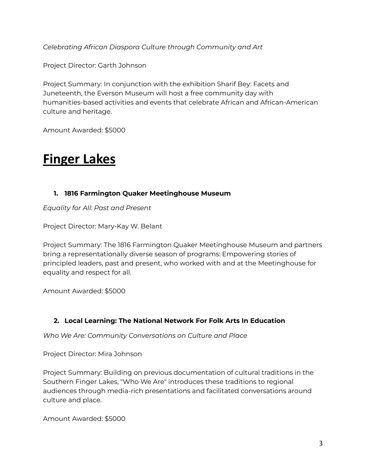*Celebrating African Diaspora Culture through Community and Art*

Project Director: Garth Johnson

Project Summary: In conjunction with the exhibition Sharif Bey: Facets and Juneteenth, the Everson Museum will host a free community day with humanities-based activities and events that celebrate African and African-American culture and heritage.

Amount Awarded: \$5000

## **Finger Lakes**

#### **1. 1816 Farmington Quaker Meetinghouse Museum**

*Equality for All: Past and Present*

Project Director: Mary-Kay W. Belant

Project Summary: The 1816 Farmington Quaker Meetinghouse Museum and partners bring a representationally diverse season of programs: Empowering stories of principled leaders, past and present, who worked with and at the Meetinghouse for equality and respect for all.

Amount Awarded: \$5000

#### **2. Local Learning: The National Network For Folk Arts In Education**

*Who We Are: Community Conversations on Culture and Place*

Project Director: Mira Johnson

Project Summary: Building on previous documentation of cultural traditions in the Southern Finger Lakes, "Who We Are" introduces these traditions to regional audiences through media-rich presentations and facilitated conversations around culture and place.

Amount Awarded: \$5000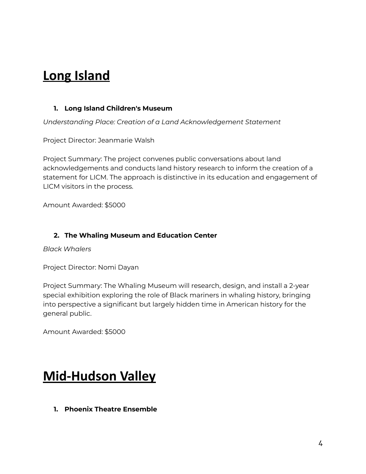### **Long Island**

#### **1. Long Island Children's Museum**

*Understanding Place: Creation of a Land Acknowledgement Statement*

Project Director: Jeanmarie Walsh

Project Summary: The project convenes public conversations about land acknowledgements and conducts land history research to inform the creation of a statement for LICM. The approach is distinctive in its education and engagement of LICM visitors in the process.

Amount Awarded: \$5000

#### **2. The Whaling Museum and Education Center**

*Black Whalers*

Project Director: Nomi Dayan

Project Summary: The Whaling Museum will research, design, and install a 2-year special exhibition exploring the role of Black mariners in whaling history, bringing into perspective a significant but largely hidden time in American history for the general public.

Amount Awarded: \$5000

### **Mid-Hudson Valley**

**1. Phoenix Theatre Ensemble**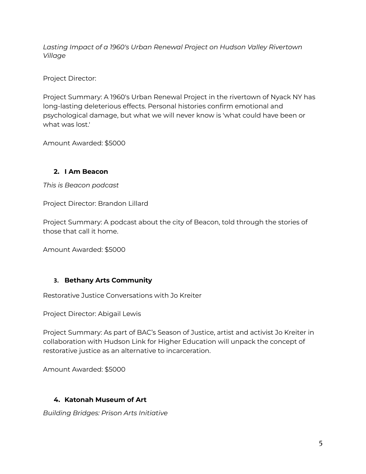*Lasting Impact of a 1960's Urban Renewal Project on Hudson Valley Rivertown Village*

Project Director:

Project Summary: A 1960's Urban Renewal Project in the rivertown of Nyack NY has long-lasting deleterious effects. Personal histories confirm emotional and psychological damage, but what we will never know is 'what could have been or what was lost.'

Amount Awarded: \$5000

#### **2. I Am Beacon**

*This is Beacon podcast*

Project Director: Brandon Lillard

Project Summary: A podcast about the city of Beacon, told through the stories of those that call it home.

Amount Awarded: \$5000

#### **3. Bethany Arts Community**

Restorative Justice Conversations with Jo Kreiter

Project Director: Abigail Lewis

Project Summary: As part of BAC's Season of Justice, artist and activist Jo Kreiter in collaboration with Hudson Link for Higher Education will unpack the concept of restorative justice as an alternative to incarceration.

Amount Awarded: \$5000

#### **4. Katonah Museum of Art**

*Building Bridges: Prison Arts Initiative*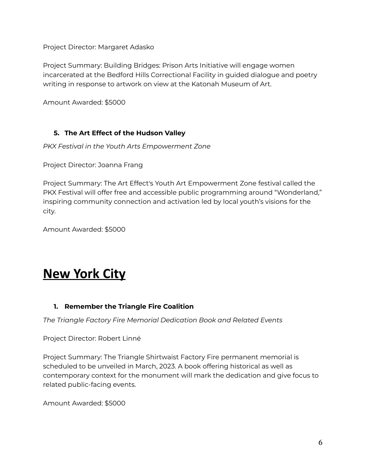Project Director: Margaret Adasko

Project Summary: Building Bridges: Prison Arts Initiative will engage women incarcerated at the Bedford Hills Correctional Facility in guided dialogue and poetry writing in response to artwork on view at the Katonah Museum of Art.

Amount Awarded: \$5000

#### **5. The Art Effect of the Hudson Valley**

*PKX Festival in the Youth Arts Empowerment Zone*

Project Director: Joanna Frang

Project Summary: The Art Effect's Youth Art Empowerment Zone festival called the PKX Festival will offer free and accessible public programming around "Wonderland," inspiring community connection and activation led by local youth's visions for the city.

Amount Awarded: \$5000

### **New York City**

#### **1. Remember the Triangle Fire Coalition**

*The Triangle Factory Fire Memorial Dedication Book and Related Events*

Project Director: Robert Linné

Project Summary: The Triangle Shirtwaist Factory Fire permanent memorial is scheduled to be unveiled in March, 2023. A book offering historical as well as contemporary context for the monument will mark the dedication and give focus to related public-facing events.

Amount Awarded: \$5000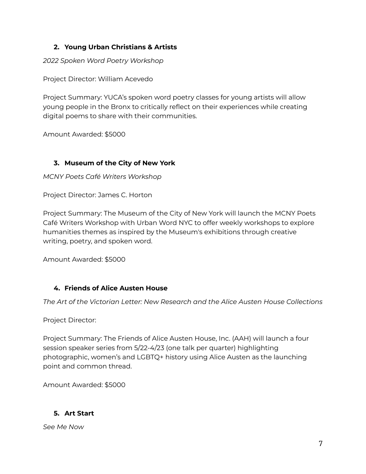#### **2. Young Urban Christians & Artists**

*2022 Spoken Word Poetry Workshop*

Project Director: William Acevedo

Project Summary: YUCA's spoken word poetry classes for young artists will allow young people in the Bronx to critically reflect on their experiences while creating digital poems to share with their communities.

Amount Awarded: \$5000

#### **3. Museum of the City of New York**

*MCNY Poets Café Writers Workshop*

Project Director: James C. Horton

Project Summary: The Museum of the City of New York will launch the MCNY Poets Café Writers Workshop with Urban Word NYC to offer weekly workshops to explore humanities themes as inspired by the Museum's exhibitions through creative writing, poetry, and spoken word.

Amount Awarded: \$5000

#### **4. Friends of Alice Austen House**

*The Art of the Victorian Letter: New Research and the Alice Austen House Collections*

Project Director:

Project Summary: The Friends of Alice Austen House, Inc. (AAH) will launch a four session speaker series from 5/22-4/23 (one talk per quarter) highlighting photographic, women's and LGBTQ+ history using Alice Austen as the launching point and common thread.

Amount Awarded: \$5000

#### **5. Art Start**

*See Me Now*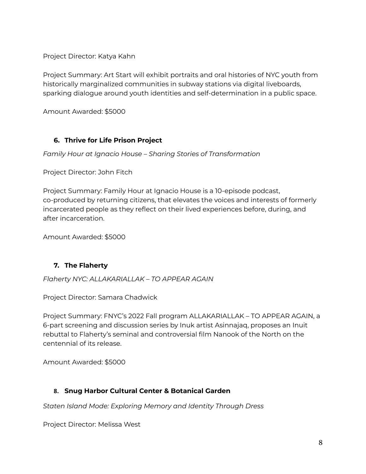Project Director: Katya Kahn

Project Summary: Art Start will exhibit portraits and oral histories of NYC youth from historically marginalized communities in subway stations via digital liveboards, sparking dialogue around youth identities and self-determination in a public space.

Amount Awarded: \$5000

#### **6. Thrive for Life Prison Project**

*Family Hour at Ignacio House – Sharing Stories of Transformation*

Project Director: John Fitch

Project Summary: Family Hour at Ignacio House is a 10-episode podcast, co-produced by returning citizens, that elevates the voices and interests of formerly incarcerated people as they reflect on their lived experiences before, during, and after incarceration.

Amount Awarded: \$5000

#### **7. The Flaherty**

*Flaherty NYC: ALLAKARIALLAK – TO APPEAR AGAIN*

Project Director: Samara Chadwick

Project Summary: FNYC's 2022 Fall program ALLAKARIALLAK – TO APPEAR AGAIN, a 6-part screening and discussion series by Inuk artist Asinnajaq, proposes an Inuit rebuttal to Flaherty's seminal and controversial film Nanook of the North on the centennial of its release.

Amount Awarded: \$5000

#### **8. Snug Harbor Cultural Center & Botanical Garden**

*Staten Island Mode: Exploring Memory and Identity Through Dress*

Project Director: Melissa West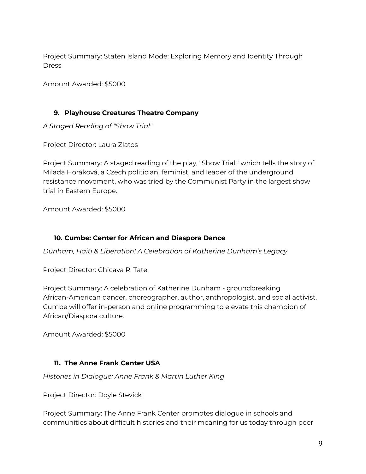Project Summary: Staten Island Mode: Exploring Memory and Identity Through **Dress** 

Amount Awarded: \$5000

#### **9. Playhouse Creatures Theatre Company**

*A Staged Reading of "Show Trial"*

Project Director: Laura Zlatos

Project Summary: A staged reading of the play, "Show Trial," which tells the story of Milada Horáková, a Czech politician, feminist, and leader of the underground resistance movement, who was tried by the Communist Party in the largest show trial in Eastern Europe.

Amount Awarded: \$5000

#### **10. Cumbe: Center for African and Diaspora Dance**

*Dunham, Haiti & Liberation! A Celebration of Katherine Dunham's Legacy*

Project Director: Chicava R. Tate

Project Summary: A celebration of Katherine Dunham - groundbreaking African-American dancer, choreographer, author, anthropologist, and social activist. Cumbe will offer in-person and online programming to elevate this champion of African/Diaspora culture.

Amount Awarded: \$5000

#### **11. The Anne Frank Center USA**

*Histories in Dialogue: Anne Frank & Martin Luther King*

Project Director: Doyle Stevick

Project Summary: The Anne Frank Center promotes dialogue in schools and communities about difficult histories and their meaning for us today through peer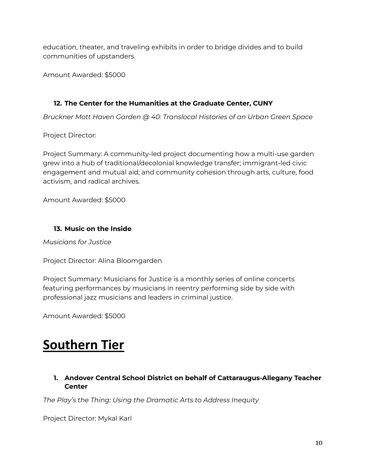education, theater, and traveling exhibits in order to bridge divides and to build communities of upstanders.

Amount Awarded: \$5000

#### **12. The Center for the Humanities at the Graduate Center, CUNY**

*Bruckner Mott Haven Garden @ 40: Translocal Histories of an Urban Green Space*

Project Director:

Project Summary: A community-led project documenting how a multi-use garden grew into a hub of traditional/decolonial knowledge transfer; immigrant-led civic engagement and mutual aid; and community cohesion through arts, culture, food activism, and radical archives.

Amount Awarded: \$5000

#### **13. Music on the Inside**

*Musicians for Justice*

Project Director: Alina Bloomgarden

Project Summary: Musicians for Justice is a monthly series of online concerts featuring performances by musicians in reentry performing side by side with professional jazz musicians and leaders in criminal justice.

Amount Awarded: \$5000

# **Southern Tier**

#### **1. Andover Central School District on behalf of Cattaraugus-Allegany Teacher Center**

*The Play's the Thing: Using the Dramatic Arts to Address Inequity*

Project Director: Mykal Karl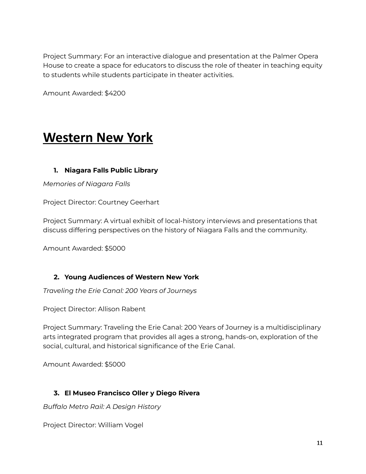Project Summary: For an interactive dialogue and presentation at the Palmer Opera House to create a space for educators to discuss the role of theater in teaching equity to students while students participate in theater activities.

Amount Awarded: \$4200

### **Western New York**

#### **1. Niagara Falls Public Library**

*Memories of Niagara Falls*

Project Director: Courtney Geerhart

Project Summary: A virtual exhibit of local-history interviews and presentations that discuss differing perspectives on the history of Niagara Falls and the community.

Amount Awarded: \$5000

#### **2. Young Audiences of Western New York**

*Traveling the Erie Canal: 200 Years of Journeys*

Project Director: Allison Rabent

Project Summary: Traveling the Erie Canal: 200 Years of Journey is a multidisciplinary arts integrated program that provides all ages a strong, hands-on, exploration of the social, cultural, and historical significance of the Erie Canal.

Amount Awarded: \$5000

#### **3. El Museo Francisco Oller y Diego Rivera**

*Buffalo Metro Rail: A Design History*

Project Director: William Vogel